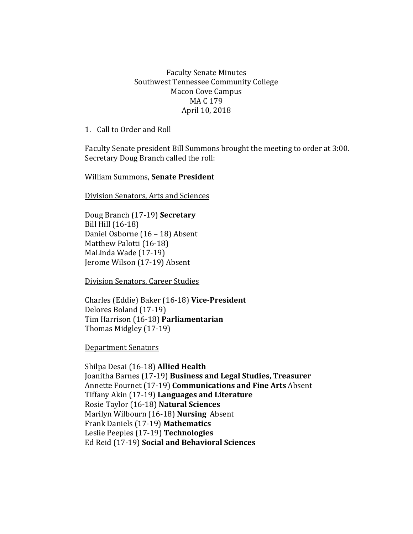## Faculty Senate Minutes Southwest Tennessee Community College Macon Cove Campus MA C 179 April 10, 2018

1. Call to Order and Roll

Faculty Senate president Bill Summons brought the meeting to order at 3:00. Secretary Doug Branch called the roll:

William Summons, **Senate President**

Division Senators, Arts and Sciences

Doug Branch (17-19) **Secretary** Bill Hill (16-18) Daniel Osborne (16 – 18) Absent Matthew Palotti (16-18) MaLinda Wade (17-19) Jerome Wilson (17-19) Absent

Division Senators, Career Studies

Charles (Eddie) Baker (16-18) **Vice-President** Delores Boland (17-19) Tim Harrison (16-18) **Parliamentarian** Thomas Midgley (17-19)

Department Senators

Shilpa Desai (16-18) **Allied Health** Joanitha Barnes (17-19) **Business and Legal Studies, Treasurer** Annette Fournet (17-19) **Communications and Fine Arts** Absent Tiffany Akin (17-19) **Languages and Literature** Rosie Taylor (16-18) **Natural Sciences**  Marilyn Wilbourn (16-18) **Nursing** Absent Frank Daniels (17-19) **Mathematics** Leslie Peeples (17-19) **Technologies**  Ed Reid (17-19) **Social and Behavioral Sciences**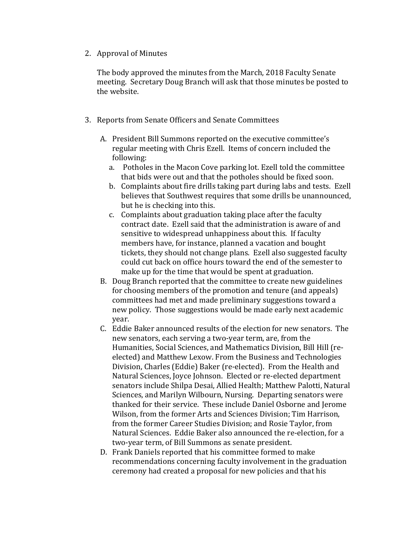2. Approval of Minutes

The body approved the minutes from the March, 2018 Faculty Senate meeting. Secretary Doug Branch will ask that those minutes be posted to the website.

- 3. Reports from Senate Officers and Senate Committees
	- A. President Bill Summons reported on the executive committee's regular meeting with Chris Ezell. Items of concern included the following:
		- a. Potholes in the Macon Cove parking lot. Ezell told the committee that bids were out and that the potholes should be fixed soon.
		- b. Complaints about fire drills taking part during labs and tests. Ezell believes that Southwest requires that some drills be unannounced, but he is checking into this.
		- c. Complaints about graduation taking place after the faculty contract date. Ezell said that the administration is aware of and sensitive to widespread unhappiness about this. If faculty members have, for instance, planned a vacation and bought tickets, they should not change plans. Ezell also suggested faculty could cut back on office hours toward the end of the semester to make up for the time that would be spent at graduation.
	- B. Doug Branch reported that the committee to create new guidelines for choosing members of the promotion and tenure (and appeals) committees had met and made preliminary suggestions toward a new policy. Those suggestions would be made early next academic year.
	- C. Eddie Baker announced results of the election for new senators. The new senators, each serving a two-year term, are, from the Humanities, Social Sciences, and Mathematics Division, Bill Hill (reelected) and Matthew Lexow. From the Business and Technologies Division, Charles (Eddie) Baker (re-elected). From the Health and Natural Sciences, Joyce Johnson. Elected or re-elected department senators include Shilpa Desai, Allied Health; Matthew Palotti, Natural Sciences, and Marilyn Wilbourn, Nursing. Departing senators were thanked for their service. These include Daniel Osborne and Jerome Wilson, from the former Arts and Sciences Division; Tim Harrison, from the former Career Studies Division; and Rosie Taylor, from Natural Sciences. Eddie Baker also announced the re-election, for a two-year term, of Bill Summons as senate president.
	- D. Frank Daniels reported that his committee formed to make recommendations concerning faculty involvement in the graduation ceremony had created a proposal for new policies and that his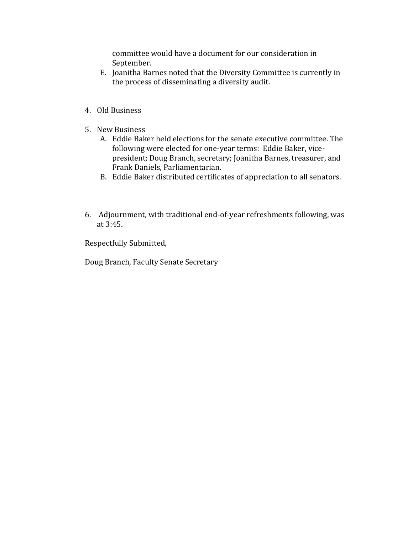committee would have a document for our consideration in September.

- E. Joanitha Barnes noted that the Diversity Committee is currently in the process of disseminating a diversity audit.
- 4. Old Business
- 5. New Business
	- A. Eddie Baker held elections for the senate executive committee. The following were elected for one-year terms: Eddie Baker, vicepresident; Doug Branch, secretary; Joanitha Barnes, treasurer, and Frank Daniels, Parliamentarian.
	- B. Eddie Baker distributed certificates of appreciation to all senators.
- 6. Adjournment, with traditional end-of-year refreshments following, was at 3:45.

Respectfully Submitted,

Doug Branch, Faculty Senate Secretary